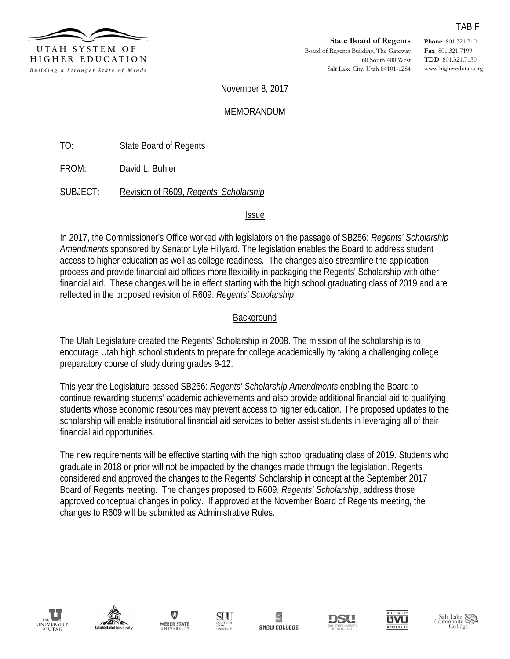

**Phone** 801.321.7101 **Fax** 801.321.7199 **TDD** 801.321.7130 www.higheredutah.org

November 8, 2017

MEMORANDUM

TO: State Board of Regents

FROM: David L. Buhler

SUBJECT: Revision of R609, *Regents' Scholarship*

# Issue

In 2017, the Commissioner's Office worked with legislators on the passage of SB256: *Regents' Scholarship Amendments* sponsored by Senator Lyle Hillyard. The legislation enables the Board to address student access to higher education as well as college readiness. The changes also streamline the application process and provide financial aid offices more flexibility in packaging the Regents' Scholarship with other financial aid. These changes will be in effect starting with the high school graduating class of 2019 and are reflected in the proposed revision of R609, *Regents' Scholarship*.

# Background

The Utah Legislature created the Regents' Scholarship in 2008. The mission of the scholarship is to encourage Utah high school students to prepare for college academically by taking a challenging college preparatory course of study during grades 9-12.

This year the Legislature passed SB256: *Regents' Scholarship Amendments* enabling the Board to continue rewarding students' academic achievements and also provide additional financial aid to qualifying students whose economic resources may prevent access to higher education. The proposed updates to the scholarship will enable institutional financial aid services to better assist students in leveraging all of their financial aid opportunities.

The new requirements will be effective starting with the high school graduating class of 2019. Students who graduate in 2018 or prior will not be impacted by the changes made through the legislation. Regents considered and approved the changes to the Regents' Scholarship in concept at the September 2017 Board of Regents meeting. The changes proposed to R609, *Regents' Scholarship*, address those approved conceptual changes in policy. If approved at the November Board of Regents meeting, the changes to R609 will be submitted as Administrative Rules.















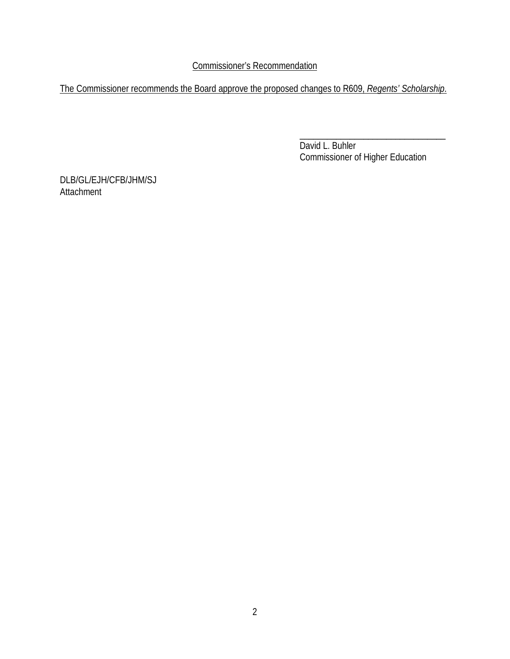Commissioner's Recommendation

The Commissioner recommends the Board approve the proposed changes to R609, *Regents' Scholarship*.

\_\_\_\_\_\_\_\_\_\_\_\_\_\_\_\_\_\_\_\_\_\_\_\_\_\_\_\_\_\_\_\_ David L. Buhler Commissioner of Higher Education

DLB/GL/EJH/CFB/JHM/SJ Attachment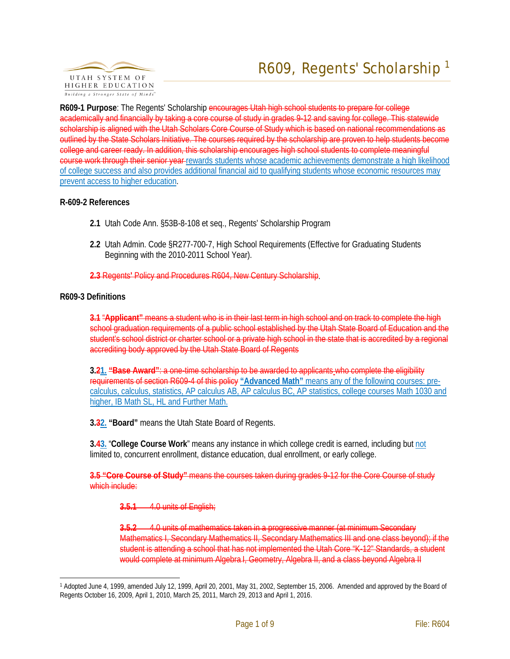

**R609-1 Purpose**: The Regents' Scholarship encourages Utah high school students to prepare for college academically and financially by taking a core course of study in grades 9-12 and saving for college. This statewide scholarship is aligned with the Utah Scholars Core Course of Study which is based on national recommendations as outlined by the State Scholars Initiative. The courses required by the scholarship are proven to help students become college and career ready. In addition, this scholarship encourages high school students to complete meaningful course work through their senior year rewards students whose academic achievements demonstrate a high likelihood of college success and also provides additional financial aid to qualifying students whose economic resources may prevent access to higher education.

### **R-609-2 References**

- **2.1** Utah Code Ann. §53B-8-108 et seq., Regents' Scholarship Program
- **2.2** Utah Admin. Code §R277-700-7, High School Requirements (Effective for Graduating Students Beginning with the 2010-2011 School Year).
- **2.3** Regents**'** Policy and Procedures R604, New Century Scholarship.

### **R609-3 Definitions**

**3.1** "**Applicant"** means a student who is in their last term in high school and on track to complete the high school graduation requirements of a public school established by the Utah State Board of Education and the student's school district or charter school or a private high school in the state that is accredited by a regional accrediting body approved by the Utah State Board of Regents

**3.21. "Base Award"**: a one-time scholarship to be awarded to applicants who complete the eligibility requirements of section R609-4 of this policy **"Advanced Math"** means any of the following courses: precalculus, calculus, statistics, AP calculus AB, AP calculus BC, AP statistics, college courses Math 1030 and higher, IB Math SL, HL and Further Math.

**3.32. "Board"** means the Utah State Board of Regents.

**3.43.** "**College Course Work**" means any instance in which college credit is earned, including but not limited to, concurrent enrollment, distance education, dual enrollment, or early college.

**3.5 "Core Course of Study"** means the courses taken during grades 9-12 for the Core Course of study which include:

**3.5.1** 4.0 units of English;

**3.5.2** 4.0 units of mathematics taken in a progressive manner (at minimum Secondary Mathematics I, Secondary Mathematics II, Secondary Mathematics III and one class beyond); if the student is attending a school that has not implemented the Utah Core "K-12" Standards, a student would complete at minimum Algebra I, Geometry, Algebra II, and a class beyond Algebra II

<span id="page-2-0"></span> <sup>1</sup> Adopted June 4, 1999, amended July 12, 1999, April 20, 2001, May 31, 2002, September 15, 2006. Amended and approved by the Board of Regents October 16, 2009, April 1, 2010, March 25, 2011, March 29, 2013 and April 1, 2016.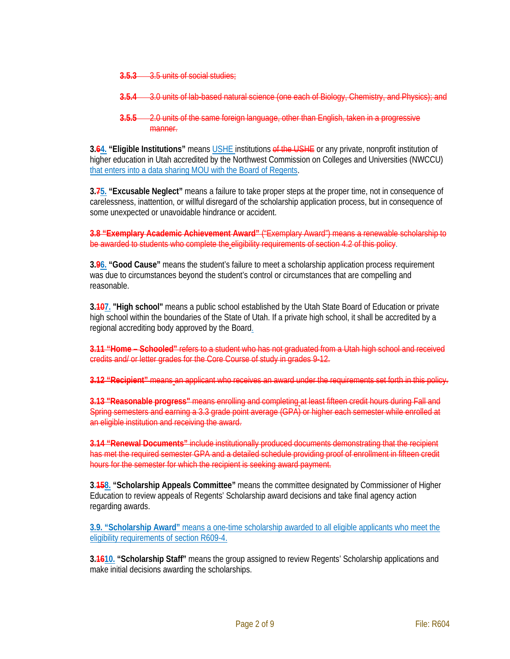- **3.5.3** 3.5 units of social studies;
- **3.5.4** 3.0 units of lab-based natural science (one each of Biology, Chemistry, and Physics);
- **3.5.5** 2.0 units of the same foreign language, other than English, taken in a progressive manner.

**3.64. "Eligible Institutions"** means USHE institutions of the USHE or any private, nonprofit institution of higher education in Utah accredited by the Northwest Commission on Colleges and Universities (NWCCU) that enters into a data sharing MOU with the Board of Regents.

**3.75. "Excusable Neglect"** means a failure to take proper steps at the proper time, not in consequence of carelessness, inattention, or willful disregard of the scholarship application process, but in consequence of some unexpected or unavoidable hindrance or accident.

**3.8 "Exemplary Academic Achievement Award"** ("Exemplary Award") means a renewable scholarship to be awarded to students who complete the eligibility requirements of section 4.2 of this policy.

**3.96. "Good Cause"** means the student's failure to meet a scholarship application process requirement was due to circumstances beyond the student's control or circumstances that are compelling and reasonable.

**3.107. "High school"** means a public school established by the Utah State Board of Education or private high school within the boundaries of the State of Utah. If a private high school, it shall be accredited by a regional accrediting body approved by the Board.

**3.11 "Home – Schooled"** refers to a student who has not graduated from a Utah high school and received credits and/ or letter grades for the Core Course of study in grades 9-12.

**3.12 "Recipient"** means an applicant who receives an award under the requirements set forth in this policy.

**3.13 "Reasonable progress"** means enrolling and completing at least fifteen credit hours during Fall and Spring semesters and earning a 3.3 grade point average (GPA) or higher each semester while enrolled at an eligible institution and receiving the award.

**3.14 "Renewal Documents"** include institutionally produced documents demonstrating that the recipient has met the required semester GPA and a detailed schedule providing proof of enrollment in fifteen credit hours for the semester for which the recipient is seeking award payment.

**3.158. "Scholarship Appeals Committee"** means the committee designated by Commissioner of Higher Education to review appeals of Regents' Scholarship award decisions and take final agency action regarding awards.

**3.9. "Scholarship Award"** means a one-time scholarship awarded to all eligible applicants who meet the eligibility requirements of section R609-4.

**3.1610. "Scholarship Staff"** means the group assigned to review Regents' Scholarship applications and make initial decisions awarding the scholarships.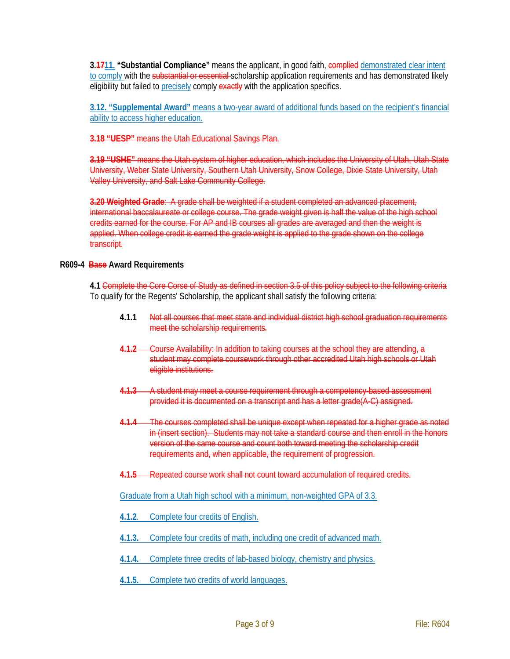**3.4711. "Substantial Compliance"** means the applicant, in good faith, **complied** demonstrated clear intent to comply with the substantial or essential scholarship application requirements and has demonstrated likely eligibility but failed to precisely comply exactly with the application specifics.

**3.12. "Supplemental Award"** means a two-year award of additional funds based on the recipient's financial ability to access higher education.

**3.18 "UESP"** means the Utah Educational Savings Plan.

**3.19 "USHE"** means the Utah system of higher education, which includes the University of Utah, Utah State University, Weber State University, Southern Utah University, Snow College, Dixie State University, Utah Valley University, and Salt Lake Community College.

**3.20 Weighted Grade**: A grade shall be weighted if a student completed an advanced placement, international baccalaureate or college course. The grade weight given is half the value of the high school credits earned for the course. For AP and IB courses all grades are averaged and then the weight is applied. When college credit is earned the grade weight is applied to the grade shown on the college transcript.

### **R609-4 Base Award Requirements**

**4.1** Complete the Core Corse of Study as defined in section 3.5 of this policy subject to the following criteria To qualify for the Regents' Scholarship, the applicant shall satisfy the following criteria:

- **4.1.1** Not all courses that meet state and individual district high school graduation requirements meet the scholarship requirements.
- **4.1.2** Course Availability: In addition to taking courses at the school they are attending, a student may complete coursework through other accredited Utah high schools or Utah eligible institutions.
- **4.1.3** A student may meet a course requirement through a competency-based assessment provided it is documented on a transcript and has a letter grade(A-C) assigned.
- **4.1.4** The courses completed shall be unique except when repeated for a higher grade as noted in (insert section). Students may not take a standard course and then enroll in the honors version of the same course and count both toward meeting the scholarship credit requirements and, when applicable, the requirement of progression.
- **4.1.5** Repeated course work shall not count toward accumulation of required credits.

Graduate from a Utah high school with a minimum, non-weighted GPA of 3.3.

- **4.1.2**. Complete four credits of English.
- **4.1.3.** Complete four credits of math, including one credit of advanced math.
- **4.1.4.** Complete three credits of lab-based biology, chemistry and physics.
- **4.1.5.** Complete two credits of world languages.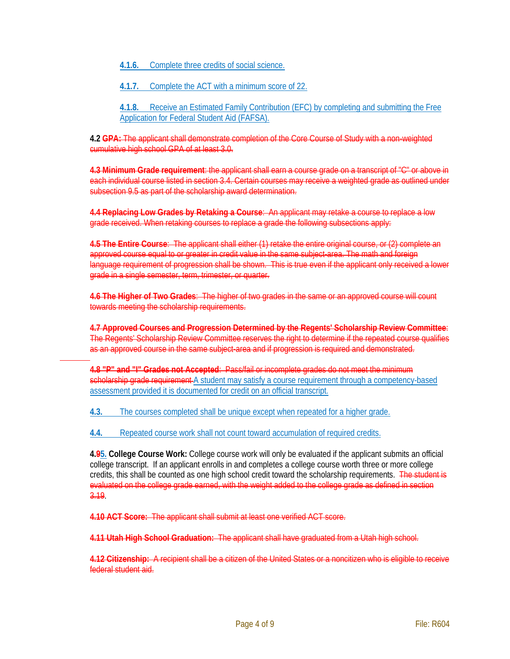**4.1.6.** Complete three credits of social science.

**4.1.7.** Complete the ACT with a minimum score of 22.

**4.1.8.** Receive an Estimated Family Contribution (EFC) by completing and submitting the Free Application for Federal Student Aid (FAFSA).

**4.2 GPA:** The applicant shall demonstrate completion of the Core Course of Study with a non-weighted cumulative high school GPA of at least 3.0.

**4.3 Minimum Grade requirement**: the applicant shall earn a course grade on a transcript of "C" or above in each individual course listed in section 3.4. Certain courses may receive a weighted grade as outlined under subsection 9.5 as part of the scholarship award determination.

**4.4 Replacing Low Grades by Retaking a Course**: An applicant may retake a course to replace a low grade received. When retaking courses to replace a grade the following subsections apply:

**4.5 The Entire Course**: The applicant shall either (1) retake the entire original course, or (2) complete an approved course equal to or greater in credit value in the same subject area. The math and foreign language requirement of progression shall be shown. This is true even if the applicant only received a lower grade in a single semester, term, trimester, or quarter.

**4.6 The Higher of Two Grades**: The higher of two grades in the same or an approved course will count towards meeting the scholarship requirements.

**4.7 Approved Courses and Progression Determined by the Regents' Scholarship Review Committee**: The Regents' Scholarship Review Committee reserves the right to determine if the repeated course qualifies as an approved course in the same subject-area and if progression is required and demonstrated.

**4.8 "P" and "I" Grades not Accepted**: Pass/fail or incomplete grades do not meet the minimum scholarship grade requirement A student may satisfy a course requirement through a competency-based assessment provided it is documented for credit on an official transcript.

**4.3.** The courses completed shall be unique except when repeated for a higher grade.

**4.4.** Repeated course work shall not count toward accumulation of required credits.

**4.95. College Course Work:** College course work will only be evaluated if the applicant submits an official college transcript. If an applicant enrolls in and completes a college course worth three or more college credits, this shall be counted as one high school credit toward the scholarship requirements. The student is evaluated on the college grade earned, with the weight added to the college grade as defined in section 3.19.

**4.10 ACT Score:** The applicant shall submit at least one verified ACT score.

**4.11 Utah High School Graduation:** The applicant shall have graduated from a Utah high school.

**4.12 Citizenship:** A recipient shall be a citizen of the United States or a noncitizen who is eligible to receive federal student aid.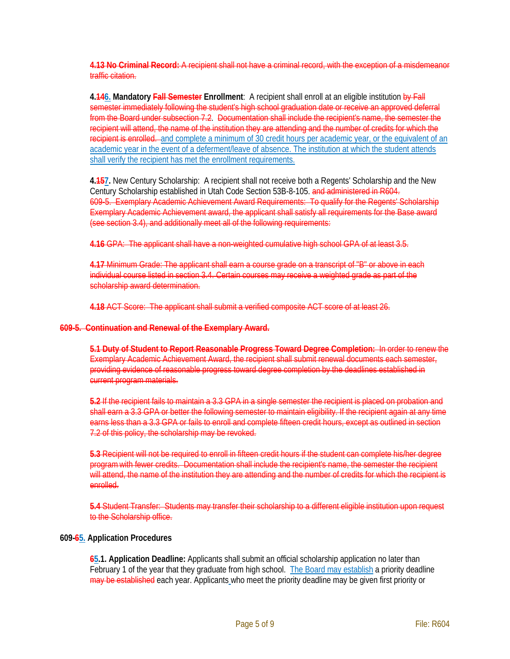**4.13 No Criminal Record:** A recipient shall not have a criminal record, with the exception of a misdemeanor traffic citation.

**4.146. Mandatory Fall Semester Enrollment**: A recipient shall enroll at an eligible institution by Fall semester immediately following the student's high school graduation date or receive an approved deferral from the Board under subsection 7.2. Documentation shall include the recipient's name, the semester the recipient will attend, the name of the institution they are attending and the number of credits for which the recipient is enrolled. and complete a minimum of 30 credit hours per academic year, or the equivalent of an academic year in the event of a deferment/leave of absence. The institution at which the student attends shall verify the recipient has met the enrollment requirements.

**4.157.** New Century Scholarship: A recipient shall not receive both a Regents' Scholarship and the New Century Scholarship established in Utah Code Section 53B-8-105. and administered in R604. 609-5. Exemplary Academic Achievement Award Requirements: To qualify for the Regents' Scholarship Exemplary Academic Achievement award, the applicant shall satisfy all requirements for the Base award (see section 3.4), and additionally meet all of the following requirements:

**4.16** GPA: The applicant shall have a non-weighted cumulative high school GPA of at least 3.5.

**4.17** Minimum Grade: The applicant shall earn a course grade on a transcript of "B" or above in each individual course listed in section 3.4. Certain courses may receive a weighted grade as part of the scholarship award determination.

**4.18** ACT Score: The applicant shall submit a verified composite ACT score of at least 26.

**609-5. Continuation and Renewal of the Exemplary Award.**

**5.1 Duty of Student to Report Reasonable Progress Toward Degree Completion:** In order to renew the Exemplary Academic Achievement Award, the recipient shall submit renewal documents each semester, providing evidence of reasonable progress toward degree completion by the deadlines established in current program materials.

**5.2** If the recipient fails to maintain a 3.3 GPA in a single semester the recipient is placed on probation and shall earn a 3.3 GPA or better the following semester to maintain eligibility. If the recipient again at any time earns less than a 3.3 GPA or fails to enroll and complete fifteen credit hours, except as outlined in section 7.2 of this policy, the scholarship may be revoked.

**5.3** Recipient will not be required to enroll in fifteen credit hours if the student can complete his/her degree programwith fewer credits. Documentation shall include the recipient's name, the semester the recipient will attend, the name of the institution they are attending and the number of credits for which the recipient is enrolled.

**5.4** Student Transfer: Students may transfer their scholarship to a different eligible institution upon request to the Scholarship office.

### **609-65. Application Procedures**

**65.1. Application Deadline:** Applicants shall submit an official scholarship application no later than February 1 of the year that they graduate from high school. The Board may establish a priority deadline may be established each year. Applicants who meet the priority deadline may be given first priority or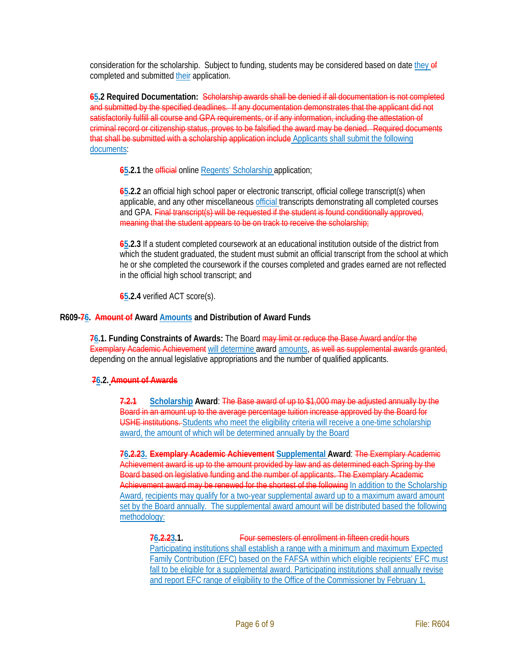consideration for the scholarship. Subject to funding, students may be considered based on date they of completed and submitted their application.

**65.2 Required Documentation:** Scholarship awards shall be denied if all documentation is not completed and submitted by the specified deadlines. If any documentation demonstrates that the applicant did not satisfactorily fulfill all course and GPA requirements, or if any information, including the attestation of criminal record or citizenship status, proves to be falsified the award may be denied. Required documents that shall be submitted with a scholarship application include Applicants shall submit the following documents:

**65.2.1** the *efficial* online Regents' Scholarship application;

**65.2.2** an official high school paper or electronic transcript, official college transcript(s) when applicable, and any other miscellaneous official transcripts demonstrating all completed courses and GPA. Final transcript(s) will be requested if the student is found conditionally approved, meaning that the student appears to be on track to receive the scholarship;

**65.2.3** If a student completed coursework at an educational institution outside of the district from which the student graduated, the student must submit an official transcript from the school at which he or she completed the coursework if the courses completed and grades earned are not reflected in the official high school transcript; and

**65.2.4** verified ACT score(s).

#### **R609-76. Amount of Award Amounts and Distribution of Award Funds**

**76.1. Funding Constraints of Awards:** The Board may limit or reduce the Base Award and/or the Exemplary Academic Achievement will determine award amounts, as well as supplemental awards granted, depending on the annual legislative appropriations and the number of qualified applicants.

### **76.2. Amount of Awards**

**7.2.1 Scholarship Award**: The Base award of up to \$1,000 may be adjusted annually by the Board in an amount up to the average percentage tuition increase approved by the Board for USHE institutions. Students who meet the eligibility criteria will receive a one-time scholarship award, the amount of which will be determined annually by the Board

**76.2.23. Exemplary Academic Achievement Supplemental Award**: The Exemplary Academic Achievement award is up to the amount provided by law and as determined each Spring by the Board based on legislative funding and the number of applicants. The Exemplary Academic Achievement award may be renewed for the shortest of the following In addition to the Scholarship Award, recipients may qualify for a two-year supplemental award up to a maximum award amount set by the Board annually. The supplemental award amount will be distributed based the following methodology:

**76.2.23.1.** Four semesters of enrollment in fifteen credit hours Participating institutions shall establish a range with a minimum and maximum Expected Family Contribution (EFC) based on the FAFSA within which eligible recipients' EFC must fall to be eligible for a supplemental award. Participating institutions shall annually revise and report EFC range of eligibility to the Office of the Commissioner by February 1.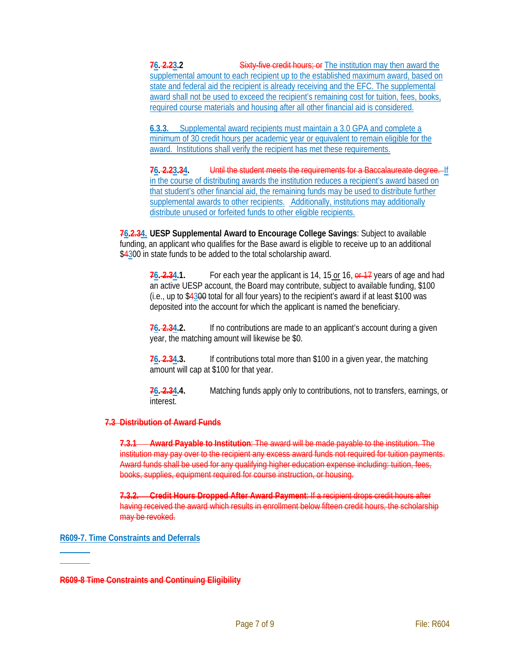**76. 2.23.2** Sixty five credit hours; or The institution may then award the supplemental amount to each recipient up to the established maximum award, based on state and federal aid the recipient is already receiving and the EFC. The supplemental award shall not be used to exceed the recipient's remaining cost for tuition, fees, books, required course materials and housing after all other financial aid is considered.

**6.3.3.** Supplemental award recipients must maintain a 3.0 GPA and complete a minimum of 30 credit hours per academic year or equivalent to remain eligible for the award. Institutions shall verify the recipient has met these requirements.

**76. 2.23.34.** Until the student meets the requirements for a Baccalaureate degree. If in the course of distributing awards the institution reduces a recipient's award based on that student's other financial aid, the remaining funds may be used to distribute further supplemental awards to other recipients. Additionally, institutions may additionally distribute unused or forfeited funds to other eligible recipients.

**76.2.34. UESP Supplemental Award to Encourage College Savings**: Subject to available funding, an applicant who qualifies for the Base award is eligible to receive up to an additional \$4300 in state funds to be added to the total scholarship award.

**76. 2.34.1.** For each year the applicant is 14, 15 or 16, or 17 years of age and had an active UESP account, the Board may contribute, subject to available funding, \$100 (i.e., up to \$4300 total for all four years) to the recipient's award if at least \$100 was deposited into the account for which the applicant is named the beneficiary.

**76. 2.34.2.** If no contributions are made to an applicant's account during a given year, the matching amount will likewise be \$0.

**76. 2.34.3.** If contributions total more than \$100 in a given year, the matching amount will cap at \$100 for that year.

**76. 2.34.4.** Matching funds apply only to contributions, not to transfers, earnings, or interest.

### **7.3 Distribution of Award Funds**

**7.3.1 Award Payable to Institution**: The award will be made payable to the institution. The institution may pay over to the recipient any excess award funds not required for tuition payments. Award funds shall be used for any qualifying higher education expense including: tuition, fees, books, supplies, equipment required for course instruction, or housing.

**7.3.2. Credit Hours Dropped After Award Payment**: If a recipient drops credit hours after having received the award which results in enrollment below fifteen credit hours, the scholarship may be revoked.

**R609-7. Time Constraints and Deferrals**

**R609-8 Time Constraints and Continuing Eligibility**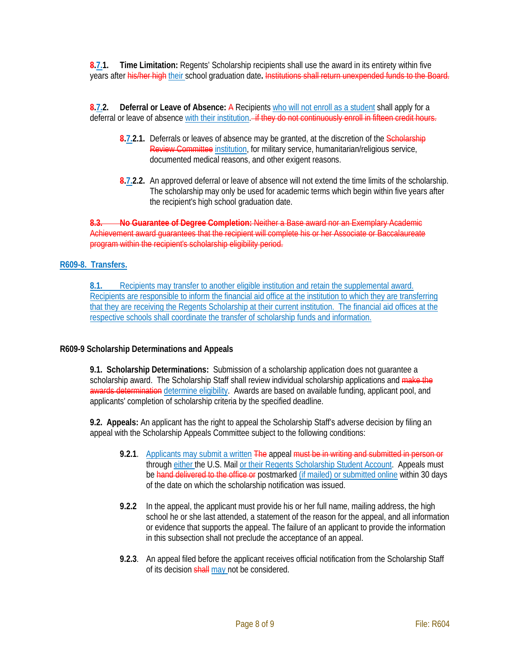**8.7.1. Time Limitation:** Regents' Scholarship recipients shall use the award in its entirety within five years after his/her high their school graduation date**.** Institutions shall return unexpended funds to the Board.

**8.7.2. Deferral or Leave of Absence:** A Recipients who will not enroll as a student shall apply for a deferral or leave of absence with their institution. If they do not continuously enroll in fifteen credit hours.

- **8.7.2.1.** Deferrals or leaves of absence may be granted, at the discretion of the Scholarship Review Committee institution, for military service, humanitarian/religious service, documented medical reasons, and other exigent reasons.
- **8.7.2.2.** An approved deferral or leave of absence will not extend the time limits of the scholarship. The scholarship may only be used for academic terms which begin within five years after the recipient's high school graduation date.

**8.3. No Guarantee of Degree Completion:** Neither a Base award nor an Exemplary Academic Achievement award guarantees that the recipient will complete his or her Associate or Baccalaureate program within the recipient's scholarship eligibility period.

### **R609-8. Transfers.**

**8.1.** Recipients may transfer to another eligible institution and retain the supplemental award. Recipients are responsible to inform the financial aid office at the institution to which they are transferring that they are receiving the Regents Scholarship at their current institution. The financial aid offices at the respective schools shall coordinate the transfer of scholarship funds and information.

### **R609-9 Scholarship Determinations and Appeals**

**9.1. Scholarship Determinations:** Submission of a scholarship application does not guarantee a scholarship award. The Scholarship Staff shall review individual scholarship applications and make the awards determination determine eligibility. Awards are based on available funding, applicant pool, and applicants' completion of scholarship criteria by the specified deadline.

**9.2. Appeals:** An applicant has the right to appeal the Scholarship Staff's adverse decision by filing an appeal with the Scholarship Appeals Committee subject to the following conditions:

- **9.2.1**. Applicants may submit a written The appeal must be in writing and submitted in person or through either the U.S. Mail or their Regents Scholarship Student Account. Appeals must be hand delivered to the office or postmarked (if mailed) or submitted online within 30 days of the date on which the scholarship notification was issued.
- **9.2.2** In the appeal, the applicant must provide his or her full name, mailing address, the high school he or she last attended, a statement of the reason for the appeal, and all information or evidence that supports the appeal. The failure of an applicant to provide the information in this subsection shall not preclude the acceptance of an appeal.
- **9.2.3**. An appeal filed before the applicant receives official notification from the Scholarship Staff of its decision shall may not be considered.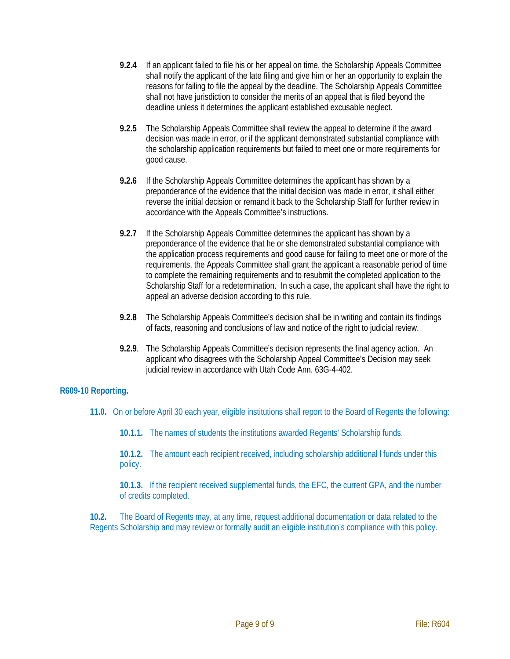- **9.2.4** If an applicant failed to file his or her appeal on time, the Scholarship Appeals Committee shall notify the applicant of the late filing and give him or her an opportunity to explain the reasons for failing to file the appeal by the deadline. The Scholarship Appeals Committee shall not have jurisdiction to consider the merits of an appeal that is filed beyond the deadline unless it determines the applicant established excusable neglect.
- **9.2.5** The Scholarship Appeals Committee shall review the appeal to determine if the award decision was made in error, or if the applicant demonstrated substantial compliance with the scholarship application requirements but failed to meet one or more requirements for good cause.
- **9.2.6** If the Scholarship Appeals Committee determines the applicant has shown by a preponderance of the evidence that the initial decision was made in error, it shall either reverse the initial decision or remand it back to the Scholarship Staff for further review in accordance with the Appeals Committee's instructions.
- **9.2.7** If the Scholarship Appeals Committee determines the applicant has shown by a preponderance of the evidence that he or she demonstrated substantial compliance with the application process requirements and good cause for failing to meet one or more of the requirements, the Appeals Committee shall grant the applicant a reasonable period of time to complete the remaining requirements and to resubmit the completed application to the Scholarship Staff for a redetermination. In such a case, the applicant shall have the right to appeal an adverse decision according to this rule.
- **9.2.8** The Scholarship Appeals Committee's decision shall be in writing and contain its findings of facts, reasoning and conclusions of law and notice of the right to judicial review.
- **9.2.9**. The Scholarship Appeals Committee's decision represents the final agency action. An applicant who disagrees with the Scholarship Appeal Committee's Decision may seek judicial review in accordance with Utah Code Ann. 63G-4-402.

# **R609-10 Reporting.**

- **11.0.** On or before April 30 each year, eligible institutions shall report to the Board of Regents the following:
	- **10.1.1.** The names of students the institutions awarded Regents' Scholarship funds.

**10.1.2.** The amount each recipient received, including scholarship additional l funds under this policy.

**10.1.3.** If the recipient received supplemental funds, the EFC, the current GPA, and the number of credits completed.

**10.2.** The Board of Regents may, at any time, request additional documentation or data related to the Regents Scholarship and may review or formally audit an eligible institution's compliance with this policy.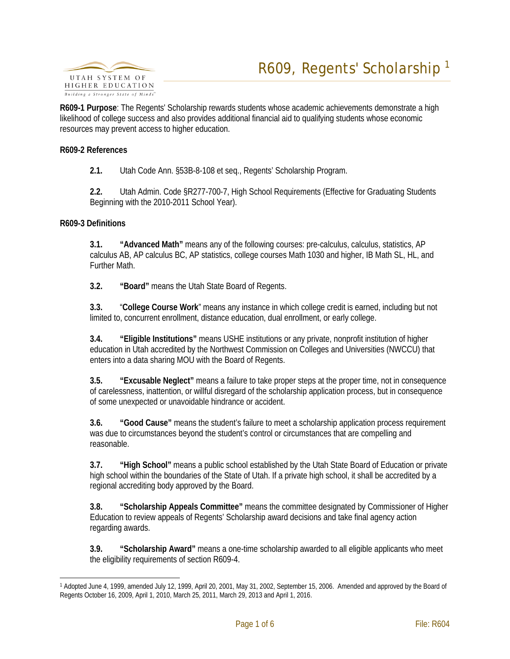

**R609-1 Purpose**: The Regents' Scholarship rewards students whose academic achievements demonstrate a high likelihood of college success and also provides additional financial aid to qualifying students whose economic resources may prevent access to higher education.

#### **R609-2 References**

**2.1.** Utah Code Ann. §53B-8-108 et seq., Regents' Scholarship Program.

**2.2.** Utah Admin. Code §R277-700-7, High School Requirements (Effective for Graduating Students Beginning with the 2010-2011 School Year).

#### **R609-3 Definitions**

**3.1. "Advanced Math"** means any of the following courses: pre-calculus, calculus, statistics, AP calculus AB, AP calculus BC, AP statistics, college courses Math 1030 and higher, IB Math SL, HL, and Further Math.

**3.2. "Board"** means the Utah State Board of Regents.

**3.3.** "**College Course Work**" means any instance in which college credit is earned, including but not limited to, concurrent enrollment, distance education, dual enrollment, or early college.

**3.4. "Eligible Institutions"** means USHE institutions or any private, nonprofit institution of higher education in Utah accredited by the Northwest Commission on Colleges and Universities (NWCCU) that enters into a data sharing MOU with the Board of Regents.

**3.5. "Excusable Neglect"** means a failure to take proper steps at the proper time, not in consequence of carelessness, inattention, or willful disregard of the scholarship application process, but in consequence of some unexpected or unavoidable hindrance or accident.

**3.6. "Good Cause"** means the student's failure to meet a scholarship application process requirement was due to circumstances beyond the student's control or circumstances that are compelling and reasonable.

**3.7. "High School"** means a public school established by the Utah State Board of Education or private high school within the boundaries of the State of Utah. If a private high school, it shall be accredited by a regional accrediting body approved by the Board.

**3.8. "Scholarship Appeals Committee"** means the committee designated by Commissioner of Higher Education to review appeals of Regents' Scholarship award decisions and take final agency action regarding awards.

**3.9. "Scholarship Award"** means a one-time scholarship awarded to all eligible applicants who meet the eligibility requirements of section R609-4.

<span id="page-11-0"></span> <sup>1</sup> Adopted June 4, 1999, amended July 12, 1999, April 20, 2001, May 31, 2002, September 15, 2006. Amended and approved by the Board of Regents October 16, 2009, April 1, 2010, March 25, 2011, March 29, 2013 and April 1, 2016.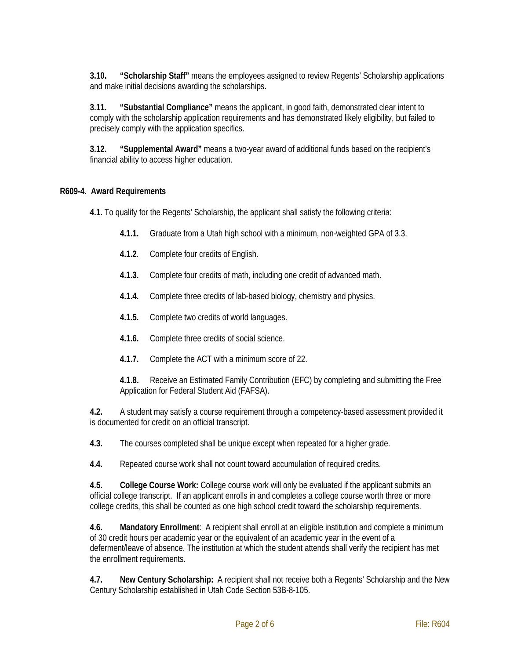**3.10. "Scholarship Staff"** means the employees assigned to review Regents' Scholarship applications and make initial decisions awarding the scholarships.

**3.11. "Substantial Compliance"** means the applicant, in good faith, demonstrated clear intent to comply with the scholarship application requirements and has demonstrated likely eligibility, but failed to precisely comply with the application specifics.

**3.12. "Supplemental Award"** means a two-year award of additional funds based on the recipient's financial ability to access higher education.

# **R609-4. Award Requirements**

**4.1.** To qualify for the Regents' Scholarship, the applicant shall satisfy the following criteria:

- **4.1.1.** Graduate from a Utah high school with a minimum, non-weighted GPA of 3.3.
- **4.1.2**. Complete four credits of English.
- **4.1.3.** Complete four credits of math, including one credit of advanced math.
- **4.1.4.** Complete three credits of lab-based biology, chemistry and physics.
- **4.1.5.** Complete two credits of world languages.
- **4.1.6.** Complete three credits of social science.
- **4.1.7.** Complete the ACT with a minimum score of 22.

**4.1.8.** Receive an Estimated Family Contribution (EFC) by completing and submitting the Free Application for Federal Student Aid (FAFSA).

**4.2.** A student may satisfy a course requirement through a competency-based assessment provided it is documented for credit on an official transcript.

**4.3.** The courses completed shall be unique except when repeated for a higher grade.

**4.4.** Repeated course work shall not count toward accumulation of required credits.

**4.5. College Course Work:** College course work will only be evaluated if the applicant submits an official college transcript. If an applicant enrolls in and completes a college course worth three or more college credits, this shall be counted as one high school credit toward the scholarship requirements.

**4.6. Mandatory Enrollment**: A recipient shall enroll at an eligible institution and complete a minimum of 30 credit hours per academic year or the equivalent of an academic year in the event of a deferment/leave of absence. The institution at which the student attends shall verify the recipient has met the enrollment requirements.

**4.7. New Century Scholarship:** A recipient shall not receive both a Regents' Scholarship and the New Century Scholarship established in Utah Code Section 53B-8-105.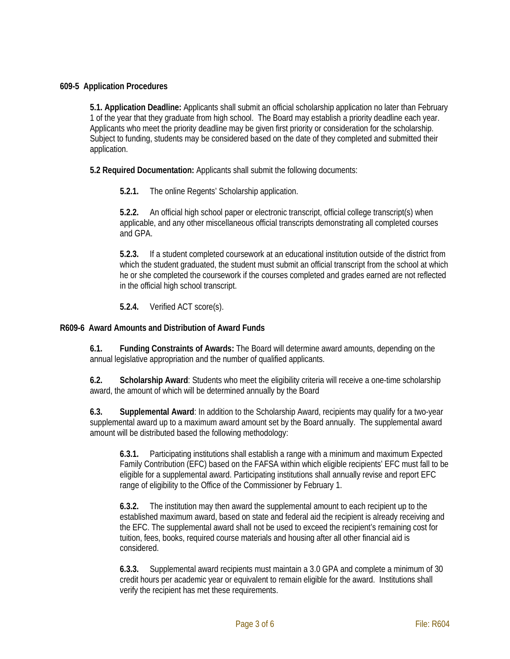# **609-5 Application Procedures**

**5.1. Application Deadline:** Applicants shall submit an official scholarship application no later than February 1 of the year that they graduate from high school. The Board may establish a priority deadline each year. Applicants who meet the priority deadline may be given first priority or consideration for the scholarship. Subject to funding, students may be considered based on the date of they completed and submitted their application.

**5.2 Required Documentation:** Applicants shall submit the following documents:

**5.2.1.** The online Regents' Scholarship application.

**5.2.2.** An official high school paper or electronic transcript, official college transcript(s) when applicable, and any other miscellaneous official transcripts demonstrating all completed courses and GPA.

**5.2.3.** If a student completed coursework at an educational institution outside of the district from which the student graduated, the student must submit an official transcript from the school at which he or she completed the coursework if the courses completed and grades earned are not reflected in the official high school transcript.

**5.2.4.** Verified ACT score(s).

### **R609-6 Award Amounts and Distribution of Award Funds**

**6.1. Funding Constraints of Awards:** The Board will determine award amounts, depending on the annual legislative appropriation and the number of qualified applicants.

**6.2. Scholarship Award**: Students who meet the eligibility criteria will receive a one-time scholarship award, the amount of which will be determined annually by the Board

**6.3. Supplemental Award**: In addition to the Scholarship Award, recipients may qualify for a two-year supplemental award up to a maximum award amount set by the Board annually. The supplemental award amount will be distributed based the following methodology:

**6.3.1.** Participating institutions shall establish a range with a minimum and maximum Expected Family Contribution (EFC) based on the FAFSA within which eligible recipients' EFC must fall to be eligible for a supplemental award. Participating institutions shall annually revise and report EFC range of eligibility to the Office of the Commissioner by February 1.

**6.3.2.** The institution may then award the supplemental amount to each recipient up to the established maximum award, based on state and federal aid the recipient is already receiving and the EFC. The supplemental award shall not be used to exceed the recipient's remaining cost for tuition, fees, books, required course materials and housing after all other financial aid is considered.

**6.3.3.** Supplemental award recipients must maintain a 3.0 GPA and complete a minimum of 30 credit hours per academic year or equivalent to remain eligible for the award. Institutions shall verify the recipient has met these requirements.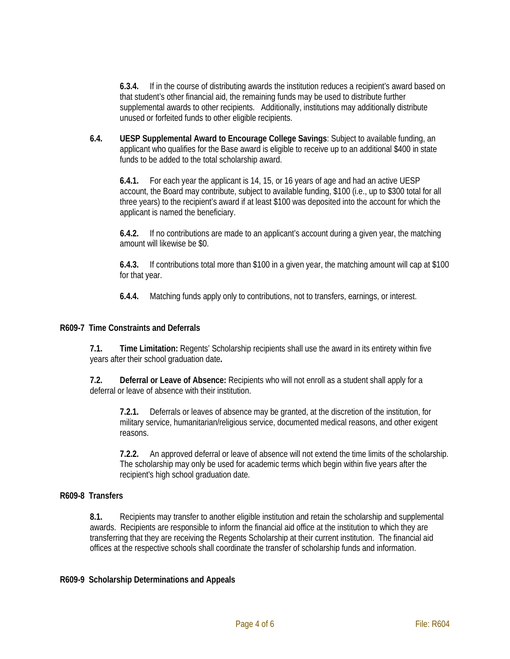**6.3.4.** If in the course of distributing awards the institution reduces a recipient's award based on that student's other financial aid, the remaining funds may be used to distribute further supplemental awards to other recipients. Additionally, institutions may additionally distribute unused or forfeited funds to other eligible recipients.

**6.4. UESP Supplemental Award to Encourage College Savings**: Subject to available funding, an applicant who qualifies for the Base award is eligible to receive up to an additional \$400 in state funds to be added to the total scholarship award.

**6.4.1.** For each year the applicant is 14, 15, or 16 years of age and had an active UESP account, the Board may contribute, subject to available funding, \$100 (i.e., up to \$300 total for all three years) to the recipient's award if at least \$100 was deposited into the account for which the applicant is named the beneficiary.

**6.4.2.** If no contributions are made to an applicant's account during a given year, the matching amount will likewise be \$0.

**6.4.3.** If contributions total more than \$100 in a given year, the matching amount will cap at \$100 for that year.

**6.4.4.** Matching funds apply only to contributions, not to transfers, earnings, or interest.

### **R609-7 Time Constraints and Deferrals**

**7.1. Time Limitation:** Regents' Scholarship recipients shall use the award in its entirety within five years after their school graduation date**.** 

**7.2. Deferral or Leave of Absence:** Recipients who will not enroll as a student shall apply for a deferral or leave of absence with their institution.

**7.2.1.** Deferrals or leaves of absence may be granted, at the discretion of the institution, for military service, humanitarian/religious service, documented medical reasons, and other exigent reasons.

**7.2.2.** An approved deferral or leave of absence will not extend the time limits of the scholarship. The scholarship may only be used for academic terms which begin within five years after the recipient's high school graduation date.

# **R609-8 Transfers**

**8.1.** Recipients may transfer to another eligible institution and retain the scholarship and supplemental awards. Recipients are responsible to inform the financial aid office at the institution to which they are transferring that they are receiving the Regents Scholarship at their current institution. The financial aid offices at the respective schools shall coordinate the transfer of scholarship funds and information.

### **R609-9 Scholarship Determinations and Appeals**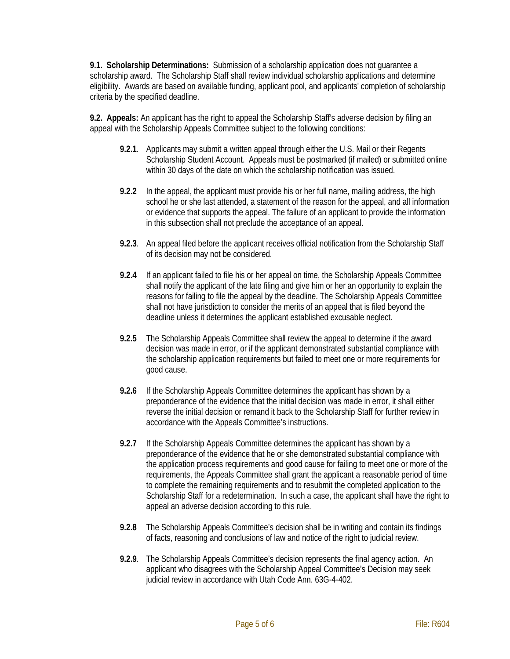**9.1. Scholarship Determinations:** Submission of a scholarship application does not guarantee a scholarship award. The Scholarship Staff shall review individual scholarship applications and determine eligibility. Awards are based on available funding, applicant pool, and applicants' completion of scholarship criteria by the specified deadline.

**9.2. Appeals:** An applicant has the right to appeal the Scholarship Staff's adverse decision by filing an appeal with the Scholarship Appeals Committee subject to the following conditions:

- **9.2.1**. Applicants may submit a written appeal through either the U.S. Mail or their Regents Scholarship Student Account. Appeals must be postmarked (if mailed) or submitted online within 30 days of the date on which the scholarship notification was issued.
- **9.2.2** In the appeal, the applicant must provide his or her full name, mailing address, the high school he or she last attended, a statement of the reason for the appeal, and all information or evidence that supports the appeal. The failure of an applicant to provide the information in this subsection shall not preclude the acceptance of an appeal.
- **9.2.3**. An appeal filed before the applicant receives official notification from the Scholarship Staff of its decision may not be considered.
- **9.2.4** If an applicant failed to file his or her appeal on time, the Scholarship Appeals Committee shall notify the applicant of the late filing and give him or her an opportunity to explain the reasons for failing to file the appeal by the deadline. The Scholarship Appeals Committee shall not have jurisdiction to consider the merits of an appeal that is filed beyond the deadline unless it determines the applicant established excusable neglect.
- **9.2.5** The Scholarship Appeals Committee shall review the appeal to determine if the award decision was made in error, or if the applicant demonstrated substantial compliance with the scholarship application requirements but failed to meet one or more requirements for good cause.
- **9.2.6** If the Scholarship Appeals Committee determines the applicant has shown by a preponderance of the evidence that the initial decision was made in error, it shall either reverse the initial decision or remand it back to the Scholarship Staff for further review in accordance with the Appeals Committee's instructions.
- **9.2.7** If the Scholarship Appeals Committee determines the applicant has shown by a preponderance of the evidence that he or she demonstrated substantial compliance with the application process requirements and good cause for failing to meet one or more of the requirements, the Appeals Committee shall grant the applicant a reasonable period of time to complete the remaining requirements and to resubmit the completed application to the Scholarship Staff for a redetermination. In such a case, the applicant shall have the right to appeal an adverse decision according to this rule.
- **9.2.8** The Scholarship Appeals Committee's decision shall be in writing and contain its findings of facts, reasoning and conclusions of law and notice of the right to judicial review.
- **9.2.9**. The Scholarship Appeals Committee's decision represents the final agency action. An applicant who disagrees with the Scholarship Appeal Committee's Decision may seek judicial review in accordance with Utah Code Ann. 63G-4-402.